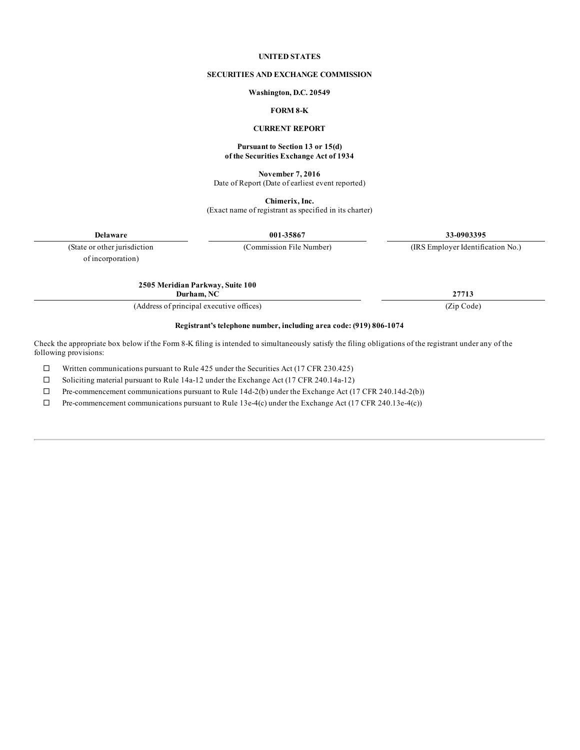#### **UNITED STATES**

#### **SECURITIES AND EXCHANGE COMMISSION**

#### **Washington, D.C. 20549**

# **FORM 8-K**

#### **CURRENT REPORT**

#### **Pursuant to Section 13 or 15(d) of the Securities Exchange Act of 1934**

**November 7, 2016** Date of Report (Date of earliest event reported)

**Chimerix, Inc.**

(Exact name of registrant as specified in its charter)

**Delaware 001-35867 33-0903395**

(State or other jurisdiction (Commission File Number) (IRS Employer Identification No.)

of incorporation)

**Durham, NC 27713**

(Address of principal executive offices) (Zip Code)

**2505 Meridian Parkway, Suite 100**

#### **Registrant's telephone number, including area code: (919) 806-1074**

Check the appropriate box below if the Form 8-K filing is intended to simultaneously satisfy the filing obligations of the registrant under any of the following provisions:

 $\Box$  Written communications pursuant to Rule 425 under the Securities Act (17 CFR 230.425)

 $\square$  Soliciting material pursuant to Rule 14a-12 under the Exchange Act (17 CFR 240.14a-12)

 $\Box$  Pre-commencement communications pursuant to Rule 14d-2(b) under the Exchange Act (17 CFR 240.14d-2(b))

 $\Box$  Pre-commencement communications pursuant to Rule 13e-4(c) under the Exchange Act (17 CFR 240.13e-4(c))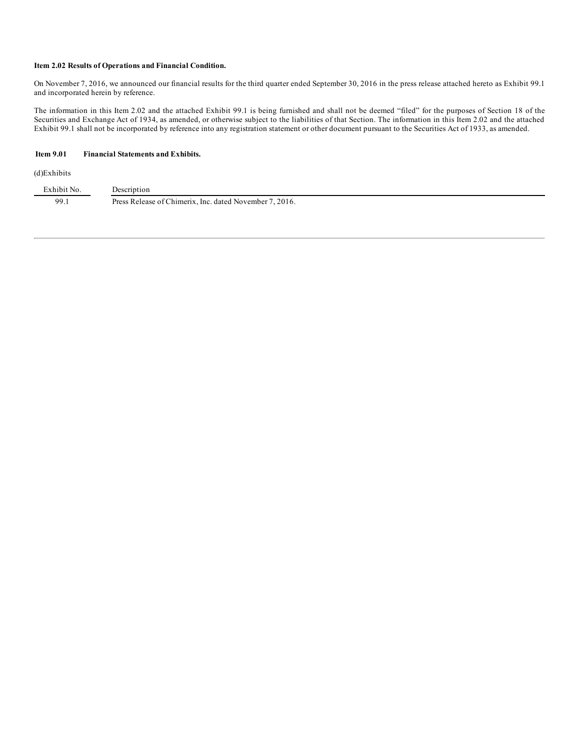#### **Item 2.02 Results of Operations and Financial Condition.**

On November 7, 2016, we announced our financial results for the third quarter ended September 30, 2016 in the press release attached hereto as Exhibit 99.1 and incorporated herein by reference.

The information in this Item 2.02 and the attached Exhibit 99.1 is being furnished and shall not be deemed "filed" for the purposes of Section 18 of the Securities and Exchange Act of 1934, as amended, or otherwise subject to the liabilities of that Section. The information in this Item 2.02 and the attached Exhibit 99.1 shall not be incorporated by reference into any registration statement or other document pursuant to the Securities Act of 1933, as amended.

## **Item 9.01 Financial Statements and Exhibits.**

#### (d)Exhibits

| Exhibit<br>t No | escription                                                        |
|-----------------|-------------------------------------------------------------------|
| 99.1            | 2016.<br>Press Release of Chimerix. Inc. dated November 7.<br>___ |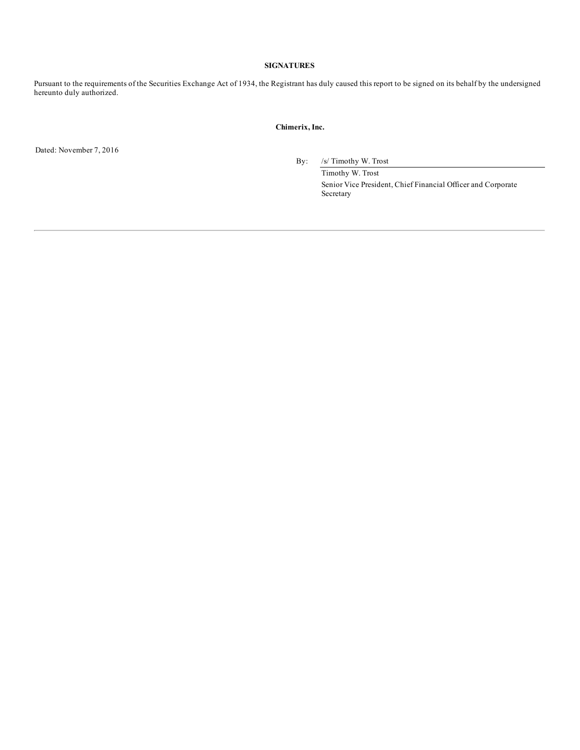### **SIGNATURES**

Pursuant to the requirements of the Securities Exchange Act of 1934, the Registrant has duly caused this report to be signed on its behalf by the undersigned hereunto duly authorized.

#### **Chimerix, Inc.**

Dated: November 7, 2016

By: /s/ Timothy W. Trost

Timothy W. Trost Senior Vice President, Chief Financial Officer and Corporate Secretary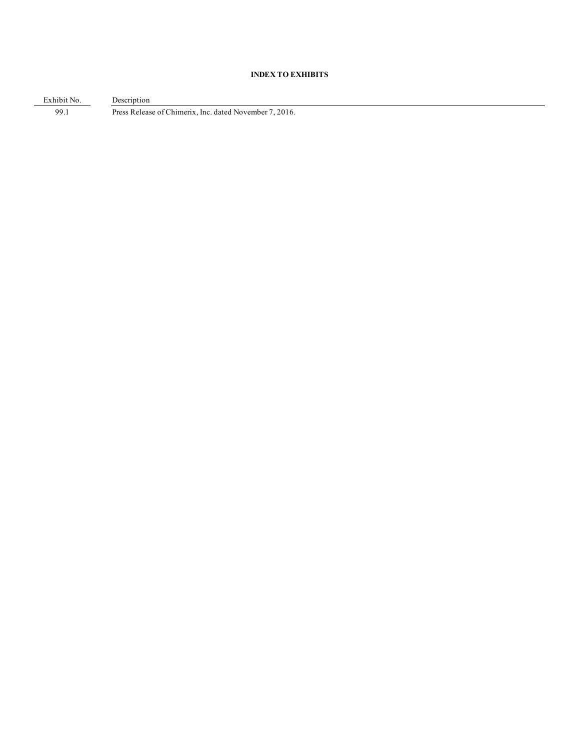# **INDEX TO EXHIBITS**

Exhibit No. Description 99.1 Press Release of Chimerix, Inc. dated November 7, 2016.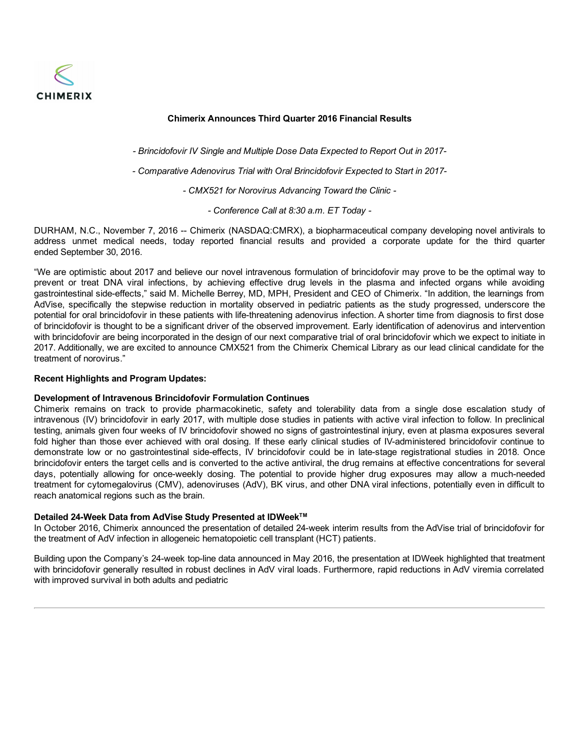

# **Chimerix Announces Third Quarter 2016 Financial Results**

*- Brincidofovir IV Single and Multiple Dose Data Expected to Report Out in 2017-*

*- Comparative Adenovirus Trial with Oral Brincidofovir Expected to Start in 2017-*

*- CMX521 for Norovirus Advancing Toward the Clinic -*

*- Conference Call at 8:30 a.m. ET Today -*

DURHAM, N.C., November 7, 2016 -- Chimerix (NASDAQ:CMRX), a biopharmaceutical company developing novel antivirals to address unmet medical needs, today reported financial results and provided a corporate update for the third quarter ended September 30, 2016.

"We are optimistic about 2017 and believe our novel intravenous formulation of brincidofovir may prove to be the optimal way to prevent or treat DNA viral infections, by achieving effective drug levels in the plasma and infected organs while avoiding gastrointestinal side-effects," said M. Michelle Berrey, MD, MPH, President and CEO of Chimerix. "In addition, the learnings from AdVise, specifically the stepwise reduction in mortality observed in pediatric patients as the study progressed, underscore the potential for oral brincidofovir in these patients with life-threatening adenovirus infection. A shorter time from diagnosis to first dose of brincidofovir is thought to be a significant driver of the observed improvement. Early identification of adenovirus and intervention with brincidofovir are being incorporated in the design of our next comparative trial of oral brincidofovir which we expect to initiate in 2017. Additionally, we are excited to announce CMX521 from the Chimerix Chemical Library as our lead clinical candidate for the treatment of norovirus."

## **Recent Highlights and Program Updates:**

## **Development of Intravenous Brincidofovir Formulation Continues**

Chimerix remains on track to provide pharmacokinetic, safety and tolerability data from a single dose escalation study of intravenous (IV) brincidofovir in early 2017, with multiple dose studies in patients with active viral infection to follow. In preclinical testing, animals given four weeks of IV brincidofovir showed no signs of gastrointestinal injury, even at plasma exposures several fold higher than those ever achieved with oral dosing. If these early clinical studies of IV-administered brincidofovir continue to demonstrate low or no gastrointestinal side-effects, IV brincidofovir could be in late-stage registrational studies in 2018. Once brincidofovir enters the target cells and is converted to the active antiviral, the drug remains at effective concentrations for several days, potentially allowing for once-weekly dosing. The potential to provide higher drug exposures may allow a much-needed treatment for cytomegalovirus (CMV), adenoviruses (AdV), BK virus, and other DNA viral infections, potentially even in difficult to reach anatomical regions such as the brain.

## **Detailed 24-Week Data from AdVise Study Presented at IDWeek TM**

In October 2016, Chimerix announced the presentation of detailed 24-week interim results from the AdVise trial of brincidofovir for the treatment of AdV infection in allogeneic hematopoietic cell transplant (HCT) patients.

Building upon the Company's 24-week top-line data announced in May 2016, the presentation at IDWeek highlighted that treatment with brincidofovir generally resulted in robust declines in AdV viral loads. Furthermore, rapid reductions in AdV viremia correlated with improved survival in both adults and pediatric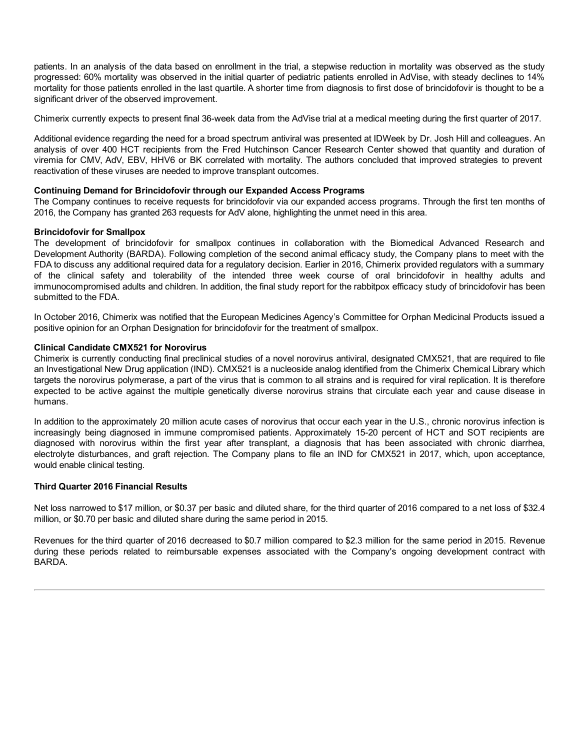patients. In an analysis of the data based on enrollment in the trial, a stepwise reduction in mortality was observed as the study progressed: 60% mortality was observed in the initial quarter of pediatric patients enrolled in AdVise, with steady declines to 14% mortality for those patients enrolled in the last quartile. A shorter time from diagnosis to first dose of brincidofovir is thought to be a significant driver of the observed improvement.

Chimerix currently expects to present final 36-week data from the AdVise trial at a medical meeting during the first quarter of 2017.

Additional evidence regarding the need for a broad spectrum antiviral was presented at IDWeek by Dr. Josh Hill and colleagues. An analysis of over 400 HCT recipients from the Fred Hutchinson Cancer Research Center showed that quantity and duration of viremia for CMV, AdV, EBV, HHV6 or BK correlated with mortality. The authors concluded that improved strategies to prevent reactivation of these viruses are needed to improve transplant outcomes.

# **Continuing Demand for Brincidofovir through our Expanded Access Programs**

The Company continues to receive requests for brincidofovir via our expanded access programs. Through the first ten months of 2016, the Company has granted 263 requests for AdV alone, highlighting the unmet need in this area.

# **Brincidofovir for Smallpox**

The development of brincidofovir for smallpox continues in collaboration with the Biomedical Advanced Research and Development Authority (BARDA). Following completion of the second animal efficacy study, the Company plans to meet with the FDA to discuss any additional required data for a regulatory decision. Earlier in 2016, Chimerix provided regulators with a summary of the clinical safety and tolerability of the intended three week course of oral brincidofovir in healthy adults and immunocompromised adults and children. In addition, the final study report for the rabbitpox efficacy study of brincidofovir has been submitted to the FDA.

In October 2016, Chimerix was notified that the European Medicines Agency's Committee for Orphan Medicinal Products issued a positive opinion for an Orphan Designation for brincidofovir for the treatment of smallpox.

## **Clinical Candidate CMX521 for Norovirus**

Chimerix is currently conducting final preclinical studies of a novel norovirus antiviral, designated CMX521, that are required to file an Investigational New Drug application (IND). CMX521 is a nucleoside analog identified from the Chimerix Chemical Library which targets the norovirus polymerase, a part of the virus that is common to all strains and is required for viral replication. It is therefore expected to be active against the multiple genetically diverse norovirus strains that circulate each year and cause disease in humans.

In addition to the approximately 20 million acute cases of norovirus that occur each year in the U.S., chronic norovirus infection is increasingly being diagnosed in immune compromised patients. Approximately 15-20 percent of HCT and SOT recipients are diagnosed with norovirus within the first year after transplant, a diagnosis that has been associated with chronic diarrhea, electrolyte disturbances, and graft rejection. The Company plans to file an IND for CMX521 in 2017, which, upon acceptance, would enable clinical testing.

## **Third Quarter 2016 Financial Results**

Net loss narrowed to \$17 million, or \$0.37 per basic and diluted share, for the third quarter of 2016 compared to a net loss of \$32.4 million, or \$0.70 per basic and diluted share during the same period in 2015.

Revenues for the third quarter of 2016 decreased to \$0.7 million compared to \$2.3 million for the same period in 2015. Revenue during these periods related to reimbursable expenses associated with the Company's ongoing development contract with BARDA.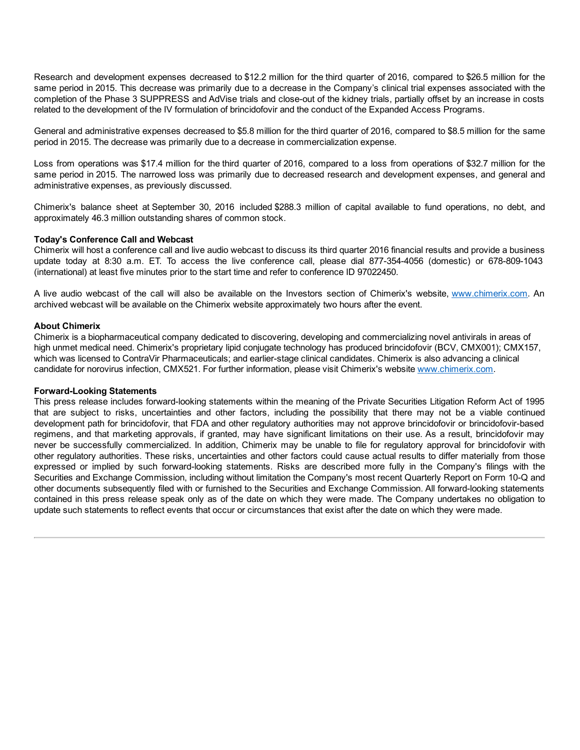Research and development expenses decreased to \$12.2 million for the third quarter of 2016, compared to \$26.5 million for the same period in 2015. This decrease was primarily due to a decrease in the Company's clinical trial expenses associated with the completion of the Phase 3 SUPPRESS and AdVise trials and close-out of the kidney trials, partially offset by an increase in costs related to the development of the IV formulation of brincidofovir and the conduct of the Expanded Access Programs.

General and administrative expenses decreased to \$5.8 million for the third quarter of 2016, compared to \$8.5 million for the same period in 2015. The decrease was primarily due to a decrease in commercialization expense.

Loss from operations was \$17.4 million for the third quarter of 2016, compared to a loss from operations of \$32.7 million for the same period in 2015. The narrowed loss was primarily due to decreased research and development expenses, and general and administrative expenses, as previously discussed.

Chimerix's balance sheet at September 30, 2016 included \$288.3 million of capital available to fund operations, no debt, and approximately 46.3 million outstanding shares of common stock.

## **Today's Conference Call and Webcast**

Chimerix will host a conference call and live audio webcast to discuss its third quarter 2016 financial results and provide a business update today at 8:30 a.m. ET. To access the live conference call, please dial 877-354-4056 (domestic) or 678-809-1043 (international) at least five minutes prior to the start time and refer to conference ID 97022450.

A live audio webcast of the call will also be available on the Investors section of Chimerix's website, www.chimerix.com. An archived webcast will be available on the Chimerix website approximately two hours after the event.

## **About Chimerix**

Chimerix is a biopharmaceutical company dedicated to discovering, developing and commercializing novel antivirals in areas of high unmet medical need. Chimerix's proprietary lipid conjugate technology has produced brincidofovir (BCV, CMX001); CMX157, which was licensed to ContraVir Pharmaceuticals; and earlier-stage clinical candidates. Chimerix is also advancing a clinical candidate for norovirus infection, CMX521. For further information, please visit Chimerix's website www.chimerix.com.

## **Forward-Looking Statements**

This press release includes forward-looking statements within the meaning of the Private Securities Litigation Reform Act of 1995 that are subject to risks, uncertainties and other factors, including the possibility that there may not be a viable continued development path for brincidofovir, that FDA and other regulatory authorities may not approve brincidofovir or brincidofovir-based regimens, and that marketing approvals, if granted, may have significant limitations on their use. As a result, brincidofovir may never be successfully commercialized. In addition, Chimerix may be unable to file for regulatory approval for brincidofovir with other regulatory authorities. These risks, uncertainties and other factors could cause actual results to differ materially from those expressed or implied by such forward-looking statements. Risks are described more fully in the Company's filings with the Securities and Exchange Commission, including without limitation the Company's most recent Quarterly Report on Form 10-Q and other documents subsequently filed with or furnished to the Securities and Exchange Commission. All forward-looking statements contained in this press release speak only as of the date on which they were made. The Company undertakes no obligation to update such statements to reflect events that occur or circumstances that exist after the date on which they were made.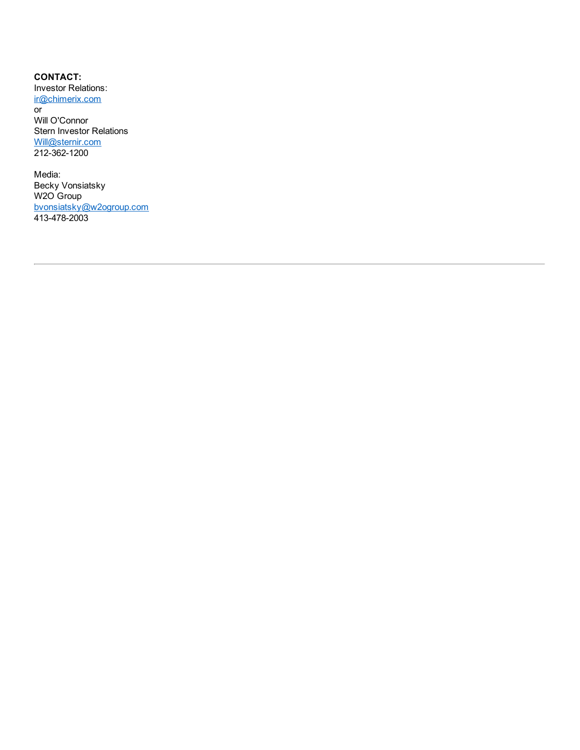**CONTACT:** Investor Relations: ir@chimerix.com or Will O'Connor Stern Investor Relations Will@sternir.com 212-362-1200

Media: Becky Vonsiatsky W2O Group bvonsiatsky@w2ogroup.com 413-478-2003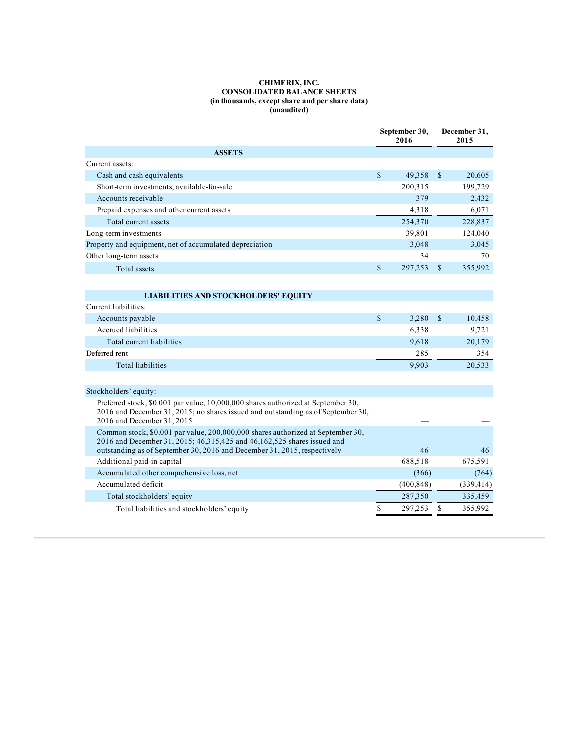#### **CHIMERIX, INC. CONSOLIDATED BALANCE SHEETS (in thousands, except share and per share data) (unaudited)**

|                                                                                                                                                                                                                                            |              | September 30,<br>2016 | December 31,<br>2015 |            |
|--------------------------------------------------------------------------------------------------------------------------------------------------------------------------------------------------------------------------------------------|--------------|-----------------------|----------------------|------------|
| <b>ASSETS</b>                                                                                                                                                                                                                              |              |                       |                      |            |
| Current assets:                                                                                                                                                                                                                            |              |                       |                      |            |
| Cash and cash equivalents                                                                                                                                                                                                                  | \$           | 49,358                | \$                   | 20,605     |
| Short-term investments, available-for-sale                                                                                                                                                                                                 |              | 200,315               |                      | 199,729    |
| Accounts receivable                                                                                                                                                                                                                        |              | 379                   |                      | 2,432      |
| Prepaid expenses and other current assets                                                                                                                                                                                                  |              | 4,318                 |                      | 6.071      |
| Total current assets                                                                                                                                                                                                                       |              | 254,370               |                      | 228,837    |
| Long-term investments                                                                                                                                                                                                                      |              | 39,801                |                      | 124,040    |
| Property and equipment, net of accumulated depreciation                                                                                                                                                                                    |              | 3,048                 |                      | 3,045      |
| Other long-term assets                                                                                                                                                                                                                     |              | 34                    |                      | 70         |
| <b>Total assets</b>                                                                                                                                                                                                                        | $\mathbb{S}$ | 297,253               | $\mathbf{s}$         | 355,992    |
|                                                                                                                                                                                                                                            |              |                       |                      |            |
| <b>LIABILITIES AND STOCKHOLDERS' EQUITY</b>                                                                                                                                                                                                |              |                       |                      |            |
| Current liabilities:                                                                                                                                                                                                                       |              |                       |                      |            |
| Accounts payable                                                                                                                                                                                                                           | $\mathbb{S}$ | 3,280                 | \$                   | 10,458     |
| Accrued liabilities                                                                                                                                                                                                                        |              | 6,338                 |                      | 9,721      |
| Total current liabilities                                                                                                                                                                                                                  |              | 9,618                 |                      | 20,179     |
| Deferred rent                                                                                                                                                                                                                              |              | 285                   |                      | 354        |
| <b>Total liabilities</b>                                                                                                                                                                                                                   |              | 9,903                 |                      | 20,533     |
|                                                                                                                                                                                                                                            |              |                       |                      |            |
| Stockholders' equity:                                                                                                                                                                                                                      |              |                       |                      |            |
| Preferred stock, \$0.001 par value, 10,000,000 shares authorized at September 30,<br>2016 and December 31, 2015; no shares issued and outstanding as of September 30,<br>2016 and December 31, 2015                                        |              |                       |                      |            |
| Common stock, \$0.001 par value, 200,000,000 shares authorized at September 30,<br>2016 and December 31, 2015; 46, 315, 425 and 46, 162, 525 shares issued and<br>outstanding as of September 30, 2016 and December 31, 2015, respectively |              | 46                    |                      | 46         |
| Additional paid-in capital                                                                                                                                                                                                                 |              | 688,518               |                      | 675,591    |
| Accumulated other comprehensive loss, net                                                                                                                                                                                                  |              | (366)                 |                      | (764)      |
| Accumulated deficit                                                                                                                                                                                                                        |              | (400, 848)            |                      | (339, 414) |
| Total stockholders' equity                                                                                                                                                                                                                 |              | 287,350               |                      | 335,459    |
| Total liabilities and stockholders' equity                                                                                                                                                                                                 | \$           | 297,253               | S                    | 355,992    |
|                                                                                                                                                                                                                                            |              |                       |                      |            |